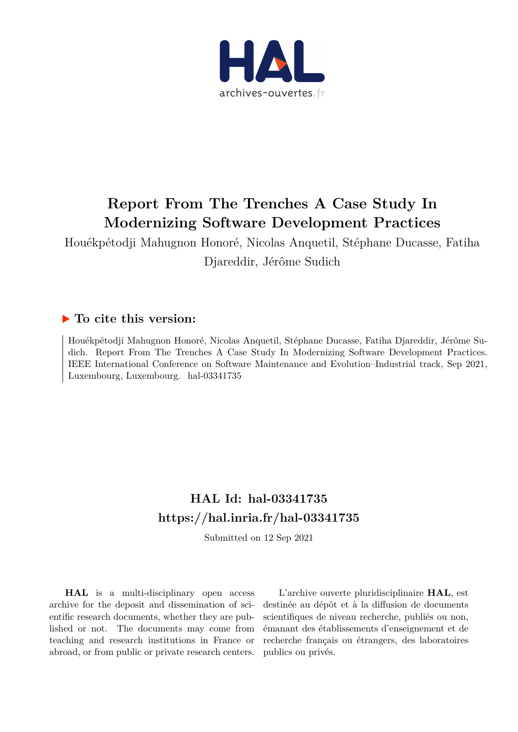

## **Report From The Trenches A Case Study In Modernizing Software Development Practices**

Houékpétodji Mahugnon Honoré, Nicolas Anquetil, Stéphane Ducasse, Fatiha Djareddir, Jérôme Sudich

### **To cite this version:**

Houékpétodji Mahugnon Honoré, Nicolas Anquetil, Stéphane Ducasse, Fatiha Djareddir, Jérôme Sudich. Report From The Trenches A Case Study In Modernizing Software Development Practices. IEEE International Conference on Software Maintenance and Evolution–Industrial track, Sep 2021, Luxembourg, Luxembourg. hal-03341735

## **HAL Id: hal-03341735 <https://hal.inria.fr/hal-03341735>**

Submitted on 12 Sep 2021

**HAL** is a multi-disciplinary open access archive for the deposit and dissemination of scientific research documents, whether they are published or not. The documents may come from teaching and research institutions in France or abroad, or from public or private research centers.

L'archive ouverte pluridisciplinaire **HAL**, est destinée au dépôt et à la diffusion de documents scientifiques de niveau recherche, publiés ou non, émanant des établissements d'enseignement et de recherche français ou étrangers, des laboratoires publics ou privés.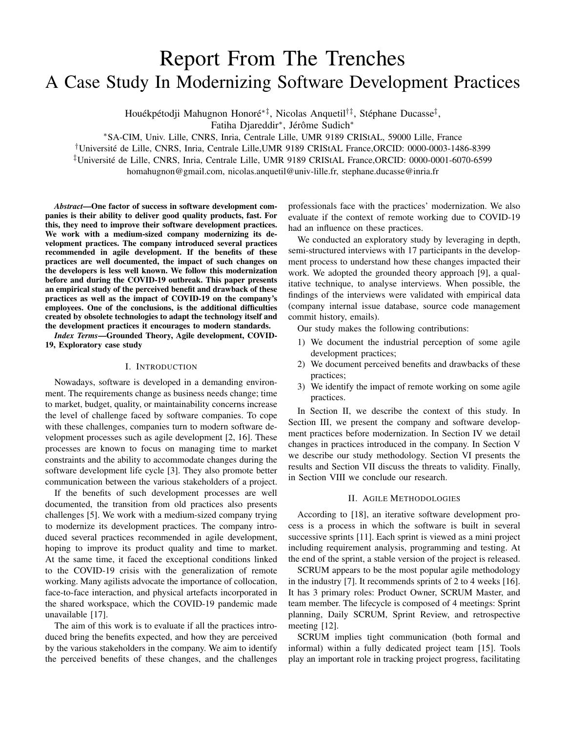# Report From The Trenches A Case Study In Modernizing Software Development Practices

Houékpétodji Mahugnon Honoré\*‡, Nicolas Anquetil†‡, Stéphane Ducasse<sup>‡</sup>,

Fatiha Djareddir<sup>\*</sup>, Jérôme Sudich<sup>\*</sup>

<sup>∗</sup>SA-CIM, Univ. Lille, CNRS, Inria, Centrale Lille, UMR 9189 CRIStAL, 59000 Lille, France

†Universite de Lille, CNRS, Inria, Centrale Lille,UMR 9189 CRIStAL France,ORCID: 0000-0003-1486-8399 ´

‡Universite de Lille, CNRS, Inria, Centrale Lille, UMR 9189 CRIStAL France,ORCID: 0000-0001-6070-6599 ´

homahugnon@gmail.com, nicolas.anquetil@univ-lille.fr, stephane.ducasse@inria.fr

*Abstract*—One factor of success in software development companies is their ability to deliver good quality products, fast. For this, they need to improve their software development practices. We work with a medium-sized company modernizing its development practices. The company introduced several practices recommended in agile development. If the benefits of these practices are well documented, the impact of such changes on the developers is less well known. We follow this modernization before and during the COVID-19 outbreak. This paper presents an empirical study of the perceived benefit and drawback of these practices as well as the impact of COVID-19 on the company's employees. One of the conclusions, is the additional difficulties created by obsolete technologies to adapt the technology itself and the development practices it encourages to modern standards.

*Index Terms*—Grounded Theory, Agile development, COVID-19, Exploratory case study

#### I. INTRODUCTION

Nowadays, software is developed in a demanding environment. The requirements change as business needs change; time to market, budget, quality, or maintainability concerns increase the level of challenge faced by software companies. To cope with these challenges, companies turn to modern software development processes such as agile development [2, 16]. These processes are known to focus on managing time to market constraints and the ability to accommodate changes during the software development life cycle [3]. They also promote better communication between the various stakeholders of a project.

If the benefits of such development processes are well documented, the transition from old practices also presents challenges [5]. We work with a medium-sized company trying to modernize its development practices. The company introduced several practices recommended in agile development, hoping to improve its product quality and time to market. At the same time, it faced the exceptional conditions linked to the COVID-19 crisis with the generalization of remote working. Many agilists advocate the importance of collocation, face-to-face interaction, and physical artefacts incorporated in the shared workspace, which the COVID-19 pandemic made unavailable [17].

The aim of this work is to evaluate if all the practices introduced bring the benefits expected, and how they are perceived by the various stakeholders in the company. We aim to identify the perceived benefits of these changes, and the challenges

professionals face with the practices' modernization. We also evaluate if the context of remote working due to COVID-19 had an influence on these practices.

We conducted an exploratory study by leveraging in depth, semi-structured interviews with 17 participants in the development process to understand how these changes impacted their work. We adopted the grounded theory approach [9], a qualitative technique, to analyse interviews. When possible, the findings of the interviews were validated with empirical data (company internal issue database, source code management commit history, emails).

Our study makes the following contributions:

- 1) We document the industrial perception of some agile development practices;
- 2) We document perceived benefits and drawbacks of these practices;
- 3) We identify the impact of remote working on some agile practices.

In Section II, we describe the context of this study. In Section III, we present the company and software development practices before modernization. In Section IV we detail changes in practices introduced in the company. In Section V we describe our study methodology. Section VI presents the results and Section VII discuss the threats to validity. Finally, in Section VIII we conclude our research.

#### II. AGILE METHODOLOGIES

According to [18], an iterative software development process is a process in which the software is built in several successive sprints [11]. Each sprint is viewed as a mini project including requirement analysis, programming and testing. At the end of the sprint, a stable version of the project is released.

SCRUM appears to be the most popular agile methodology in the industry [7]. It recommends sprints of 2 to 4 weeks [16]. It has 3 primary roles: Product Owner, SCRUM Master, and team member. The lifecycle is composed of 4 meetings: Sprint planning, Daily SCRUM, Sprint Review, and retrospective meeting [12].

SCRUM implies tight communication (both formal and informal) within a fully dedicated project team [15]. Tools play an important role in tracking project progress, facilitating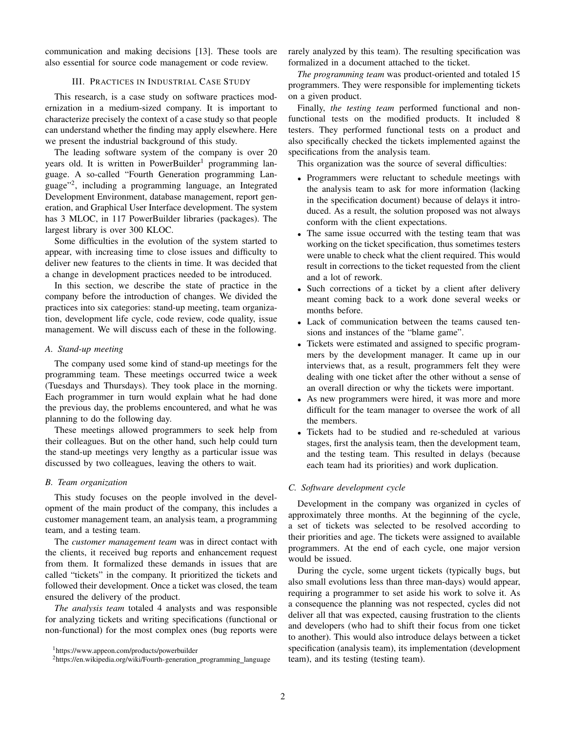communication and making decisions [13]. These tools are also essential for source code management or code review.

#### III. PRACTICES IN INDUSTRIAL CASE STUDY

This research, is a case study on software practices modernization in a medium-sized company. It is important to characterize precisely the context of a case study so that people can understand whether the finding may apply elsewhere. Here we present the industrial background of this study.

The leading software system of the company is over 20 years old. It is written in PowerBuilder<sup>1</sup> programming language. A so-called "Fourth Generation programming Language"<sup>2</sup> , including a programming language, an Integrated Development Environment, database management, report generation, and Graphical User Interface development. The system has 3 MLOC, in 117 PowerBuilder libraries (packages). The largest library is over 300 KLOC.

Some difficulties in the evolution of the system started to appear, with increasing time to close issues and difficulty to deliver new features to the clients in time. It was decided that a change in development practices needed to be introduced.

In this section, we describe the state of practice in the company before the introduction of changes. We divided the practices into six categories: stand-up meeting, team organization, development life cycle, code review, code quality, issue management. We will discuss each of these in the following.

#### *A. Stand-up meeting*

The company used some kind of stand-up meetings for the programming team. These meetings occurred twice a week (Tuesdays and Thursdays). They took place in the morning. Each programmer in turn would explain what he had done the previous day, the problems encountered, and what he was planning to do the following day.

These meetings allowed programmers to seek help from their colleagues. But on the other hand, such help could turn the stand-up meetings very lengthy as a particular issue was discussed by two colleagues, leaving the others to wait.

#### *B. Team organization*

This study focuses on the people involved in the development of the main product of the company, this includes a customer management team, an analysis team, a programming team, and a testing team.

The *customer management team* was in direct contact with the clients, it received bug reports and enhancement request from them. It formalized these demands in issues that are called "tickets" in the company. It prioritized the tickets and followed their development. Once a ticket was closed, the team ensured the delivery of the product.

*The analysis team* totaled 4 analysts and was responsible for analyzing tickets and writing specifications (functional or non-functional) for the most complex ones (bug reports were rarely analyzed by this team). The resulting specification was formalized in a document attached to the ticket.

*The programming team* was product-oriented and totaled 15 programmers. They were responsible for implementing tickets on a given product.

Finally, *the testing team* performed functional and nonfunctional tests on the modified products. It included 8 testers. They performed functional tests on a product and also specifically checked the tickets implemented against the specifications from the analysis team.

This organization was the source of several difficulties:

- Programmers were reluctant to schedule meetings with the analysis team to ask for more information (lacking in the specification document) because of delays it introduced. As a result, the solution proposed was not always conform with the client expectations.
- The same issue occurred with the testing team that was working on the ticket specification, thus sometimes testers were unable to check what the client required. This would result in corrections to the ticket requested from the client and a lot of rework.
- Such corrections of a ticket by a client after delivery meant coming back to a work done several weeks or months before.
- Lack of communication between the teams caused tensions and instances of the "blame game".
- Tickets were estimated and assigned to specific programmers by the development manager. It came up in our interviews that, as a result, programmers felt they were dealing with one ticket after the other without a sense of an overall direction or why the tickets were important.
- As new programmers were hired, it was more and more difficult for the team manager to oversee the work of all the members.
- Tickets had to be studied and re-scheduled at various stages, first the analysis team, then the development team, and the testing team. This resulted in delays (because each team had its priorities) and work duplication.

#### *C. Software development cycle*

Development in the company was organized in cycles of approximately three months. At the beginning of the cycle, a set of tickets was selected to be resolved according to their priorities and age. The tickets were assigned to available programmers. At the end of each cycle, one major version would be issued.

During the cycle, some urgent tickets (typically bugs, but also small evolutions less than three man-days) would appear, requiring a programmer to set aside his work to solve it. As a consequence the planning was not respected, cycles did not deliver all that was expected, causing frustration to the clients and developers (who had to shift their focus from one ticket to another). This would also introduce delays between a ticket specification (analysis team), its implementation (development team), and its testing (testing team).

<sup>1</sup>https://www.appeon.com/products/powerbuilder

 $2$ https://en.wikipedia.org/wiki/Fourth-generation\_programming\_language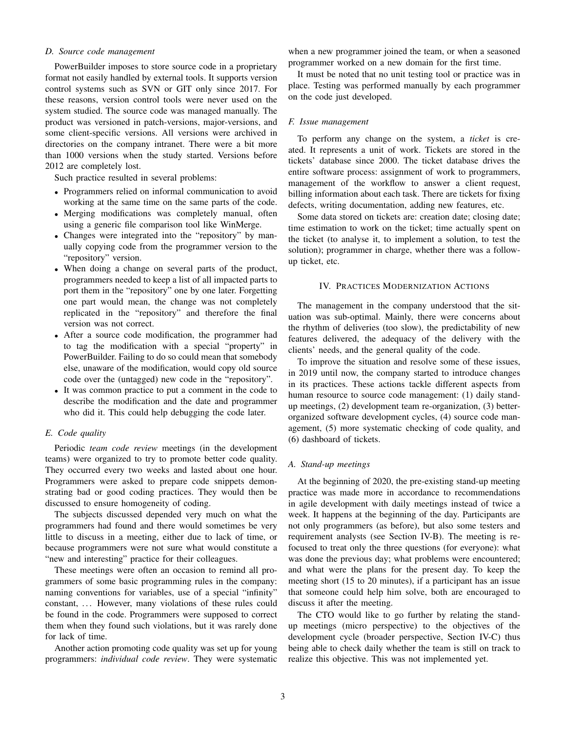#### *D. Source code management*

PowerBuilder imposes to store source code in a proprietary format not easily handled by external tools. It supports version control systems such as SVN or GIT only since 2017. For these reasons, version control tools were never used on the system studied. The source code was managed manually. The product was versioned in patch-versions, major-versions, and some client-specific versions. All versions were archived in directories on the company intranet. There were a bit more than 1000 versions when the study started. Versions before 2012 are completely lost.

Such practice resulted in several problems:

- Programmers relied on informal communication to avoid working at the same time on the same parts of the code.
- Merging modifications was completely manual, often using a generic file comparison tool like WinMerge.
- Changes were integrated into the "repository" by manually copying code from the programmer version to the "repository" version.
- When doing a change on several parts of the product, programmers needed to keep a list of all impacted parts to port them in the "repository" one by one later. Forgetting one part would mean, the change was not completely replicated in the "repository" and therefore the final version was not correct.
- After a source code modification, the programmer had to tag the modification with a special "property" in PowerBuilder. Failing to do so could mean that somebody else, unaware of the modification, would copy old source code over the (untagged) new code in the "repository".
- It was common practice to put a comment in the code to describe the modification and the date and programmer who did it. This could help debugging the code later.

#### *E. Code quality*

Periodic *team code review* meetings (in the development teams) were organized to try to promote better code quality. They occurred every two weeks and lasted about one hour. Programmers were asked to prepare code snippets demonstrating bad or good coding practices. They would then be discussed to ensure homogeneity of coding.

The subjects discussed depended very much on what the programmers had found and there would sometimes be very little to discuss in a meeting, either due to lack of time, or because programmers were not sure what would constitute a "new and interesting" practice for their colleagues.

These meetings were often an occasion to remind all programmers of some basic programming rules in the company: naming conventions for variables, use of a special "infinity" constant, ... However, many violations of these rules could be found in the code. Programmers were supposed to correct them when they found such violations, but it was rarely done for lack of time.

Another action promoting code quality was set up for young programmers: *individual code review*. They were systematic

when a new programmer joined the team, or when a seasoned programmer worked on a new domain for the first time.

It must be noted that no unit testing tool or practice was in place. Testing was performed manually by each programmer on the code just developed.

#### *F. Issue management*

To perform any change on the system, a *ticket* is created. It represents a unit of work. Tickets are stored in the tickets' database since 2000. The ticket database drives the entire software process: assignment of work to programmers, management of the workflow to answer a client request, billing information about each task. There are tickets for fixing defects, writing documentation, adding new features, etc.

Some data stored on tickets are: creation date; closing date; time estimation to work on the ticket; time actually spent on the ticket (to analyse it, to implement a solution, to test the solution); programmer in charge, whether there was a followup ticket, etc.

#### IV. PRACTICES MODERNIZATION ACTIONS

The management in the company understood that the situation was sub-optimal. Mainly, there were concerns about the rhythm of deliveries (too slow), the predictability of new features delivered, the adequacy of the delivery with the clients' needs, and the general quality of the code.

To improve the situation and resolve some of these issues, in 2019 until now, the company started to introduce changes in its practices. These actions tackle different aspects from human resource to source code management: (1) daily standup meetings, (2) development team re-organization, (3) betterorganized software development cycles, (4) source code management, (5) more systematic checking of code quality, and (6) dashboard of tickets.

#### *A. Stand-up meetings*

At the beginning of 2020, the pre-existing stand-up meeting practice was made more in accordance to recommendations in agile development with daily meetings instead of twice a week. It happens at the beginning of the day. Participants are not only programmers (as before), but also some testers and requirement analysts (see Section IV-B). The meeting is refocused to treat only the three questions (for everyone): what was done the previous day; what problems were encountered; and what were the plans for the present day. To keep the meeting short (15 to 20 minutes), if a participant has an issue that someone could help him solve, both are encouraged to discuss it after the meeting.

The CTO would like to go further by relating the standup meetings (micro perspective) to the objectives of the development cycle (broader perspective, Section IV-C) thus being able to check daily whether the team is still on track to realize this objective. This was not implemented yet.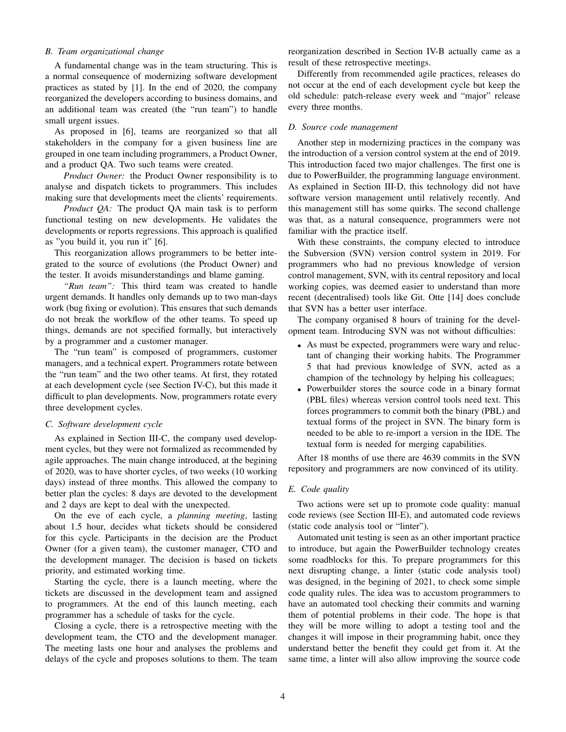#### *B. Team organizational change*

A fundamental change was in the team structuring. This is a normal consequence of modernizing software development practices as stated by [1]. In the end of 2020, the company reorganized the developers according to business domains, and an additional team was created (the "run team") to handle small urgent issues.

As proposed in [6], teams are reorganized so that all stakeholders in the company for a given business line are grouped in one team including programmers, a Product Owner, and a product QA. Two such teams were created.

*Product Owner:* the Product Owner responsibility is to analyse and dispatch tickets to programmers. This includes making sure that developments meet the clients' requirements.

*Product QA:* The product QA main task is to perform functional testing on new developments. He validates the developments or reports regressions. This approach is qualified as "you build it, you run it" [6].

This reorganization allows programmers to be better integrated to the source of evolutions (the Product Owner) and the tester. It avoids misunderstandings and blame gaming.

*"Run team":* This third team was created to handle urgent demands. It handles only demands up to two man-days work (bug fixing or evolution). This ensures that such demands do not break the workflow of the other teams. To speed up things, demands are not specified formally, but interactively by a programmer and a customer manager.

The "run team" is composed of programmers, customer managers, and a technical expert. Programmers rotate between the "run team" and the two other teams. At first, they rotated at each development cycle (see Section IV-C), but this made it difficult to plan developments. Now, programmers rotate every three development cycles.

#### *C. Software development cycle*

As explained in Section III-C, the company used development cycles, but they were not formalized as recommended by agile approaches. The main change introduced, at the begining of 2020, was to have shorter cycles, of two weeks (10 working days) instead of three months. This allowed the company to better plan the cycles: 8 days are devoted to the development and 2 days are kept to deal with the unexpected.

On the eve of each cycle, a *planning meeting*, lasting about 1.5 hour, decides what tickets should be considered for this cycle. Participants in the decision are the Product Owner (for a given team), the customer manager, CTO and the development manager. The decision is based on tickets priority, and estimated working time.

Starting the cycle, there is a launch meeting, where the tickets are discussed in the development team and assigned to programmers. At the end of this launch meeting, each programmer has a schedule of tasks for the cycle.

Closing a cycle, there is a retrospective meeting with the development team, the CTO and the development manager. The meeting lasts one hour and analyses the problems and delays of the cycle and proposes solutions to them. The team reorganization described in Section IV-B actually came as a result of these retrospective meetings.

Differently from recommended agile practices, releases do not occur at the end of each development cycle but keep the old schedule: patch-release every week and "major" release every three months.

#### *D. Source code management*

Another step in modernizing practices in the company was the introduction of a version control system at the end of 2019. This introduction faced two major challenges. The first one is due to PowerBuilder, the programming language environment. As explained in Section III-D, this technology did not have software version management until relatively recently. And this management still has some quirks. The second challenge was that, as a natural consequence, programmers were not familiar with the practice itself.

With these constraints, the company elected to introduce the Subversion (SVN) version control system in 2019. For programmers who had no previous knowledge of version control management, SVN, with its central repository and local working copies, was deemed easier to understand than more recent (decentralised) tools like Git. Otte [14] does conclude that SVN has a better user interface.

The company organised 8 hours of training for the development team. Introducing SVN was not without difficulties:

- As must be expected, programmers were wary and reluctant of changing their working habits. The Programmer 5 that had previous knowledge of SVN, acted as a champion of the technology by helping his colleagues;
- Powerbuilder stores the source code in a binary format (PBL files) whereas version control tools need text. This forces programmers to commit both the binary (PBL) and textual forms of the project in SVN. The binary form is needed to be able to re-import a version in the IDE. The textual form is needed for merging capabilities.

After 18 months of use there are 4639 commits in the SVN repository and programmers are now convinced of its utility.

#### *E. Code quality*

Two actions were set up to promote code quality: manual code reviews (see Section III-E), and automated code reviews (static code analysis tool or "linter").

Automated unit testing is seen as an other important practice to introduce, but again the PowerBuilder technology creates some roadblocks for this. To prepare programmers for this next disrupting change, a linter (static code analysis tool) was designed, in the begining of 2021, to check some simple code quality rules. The idea was to accustom programmers to have an automated tool checking their commits and warning them of potential problems in their code. The hope is that they will be more willing to adopt a testing tool and the changes it will impose in their programming habit, once they understand better the benefit they could get from it. At the same time, a linter will also allow improving the source code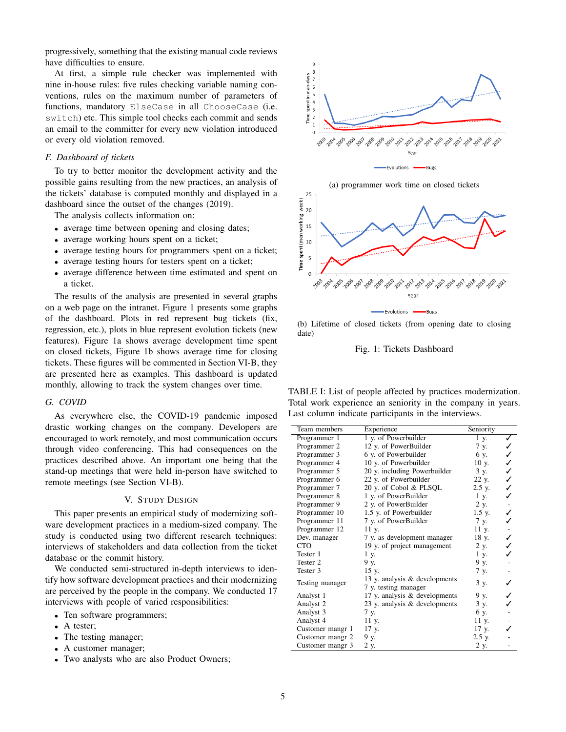progressively, something that the existing manual code reviews have difficulties to ensure.

At first, a simple rule checker was implemented with nine in-house rules: five rules checking variable naming conventions, rules on the maximum number of parameters of functions, mandatory ElseCase in all ChooseCase (i.e. switch) etc. This simple tool checks each commit and sends an email to the committer for every new violation introduced or every old violation removed.

#### *F. Dashboard of tickets*

To try to better monitor the development activity and the possible gains resulting from the new practices, an analysis of the tickets' database is computed monthly and displayed in a dashboard since the outset of the changes (2019).

The analysis collects information on:

- average time between opening and closing dates;
- average working hours spent on a ticket;
- average testing hours for programmers spent on a ticket;
- average testing hours for testers spent on a ticket;
- average difference between time estimated and spent on a ticket.

The results of the analysis are presented in several graphs on a web page on the intranet. Figure 1 presents some graphs of the dashboard. Plots in red represent bug tickets (fix, regression, etc.), plots in blue represent evolution tickets (new features). Figure 1a shows average development time spent on closed tickets, Figure 1b shows average time for closing tickets. These figures will be commented in Section VI-B, they are presented here as examples. This dashboard is updated monthly, allowing to track the system changes over time.

#### *G. COVID*

As everywhere else, the COVID-19 pandemic imposed drastic working changes on the company. Developers are encouraged to work remotely, and most communication occurs through video conferencing. This had consequences on the practices described above. An important one being that the stand-up meetings that were held in-person have switched to remote meetings (see Section VI-B).

#### V. STUDY DESIGN

This paper presents an empirical study of modernizing software development practices in a medium-sized company. The study is conducted using two different research techniques: interviews of stakeholders and data collection from the ticket database or the commit history.

We conducted semi-structured in-depth interviews to identify how software development practices and their modernizing are perceived by the people in the company. We conducted 17 interviews with people of varied responsibilities:

- Ten software programmers;
- A tester;
- The testing manager;
- A customer manager;
- Two analysts who are also Product Owners;





(b) Lifetime of closed tickets (from opening date to closing date)

Fig. 1: Tickets Dashboard

TABLE I: List of people affected by practices modernization. Total work experience an seniority in the company in years. Last column indicate participants in the interviews.

| Team members     | Experience                    | Seniority |        |
|------------------|-------------------------------|-----------|--------|
| Programmer 1     | 1 y. of Powerbuilder          | 1 y.      |        |
| Programmer 2     | 12 y. of PowerBuilder         | 7 y.      |        |
| Programmer 3     | 6 y. of Powerbuilder          | 6 y.      |        |
| Programmer 4     | 10 y. of Powerbuilder         | 10 y.     |        |
| Programmer 5     | 20 y. including Powerbuilder  | 3 y.      |        |
| Programmer 6     | 22 y. of Powerbuilder         | 22 y.     | ノノノノノ  |
| Programmer 7     | 20 y. of Cobol & PLSQL        | 2.5 y.    |        |
| Programmer 8     | 1 y. of PowerBuilder          | 1 y.      |        |
| Programmer 9     | 2 y. of PowerBuilder          | 2 y.      |        |
| Programmer 10    | 1.5 y. of Powerbuilder        | 1.5 y.    | ・ノノ・ノノ |
| Programmer 11    | 7 y. of PowerBuilder          | 7 y.      |        |
| Programmer 12    | 11 y.                         | 11 y.     |        |
| Dev. manager     | 7 y. as development manager   | 18 y.     |        |
| <b>CTO</b>       | 19 y. of project management   | 2 y.      |        |
| Tester 1         | 1 y.                          | 1 y.      |        |
| Tester 2         | 9 y.                          | 9у.       |        |
| Tester 3         | 15 y.                         | 7 y.      |        |
| Testing manager  | 13 y. analysis & developments | 3 y.      |        |
|                  | 7 y. testing manager          |           |        |
| Analyst 1        | 17 y. analysis & developments | 9 y.      |        |
| Analyst 2        | 23 y. analysis & developments | 3 y.      |        |
| Analyst 3        | 7 y.                          | 6у.       |        |
| Analyst 4        | 11 y.                         | 11 y.     |        |
| Customer mangr 1 | 17 y.                         | 17 y.     |        |
| Customer mangr 2 | 9у.                           | 2.5 y.    |        |
| Customer mangr 3 | 2 y.                          | 2 y.      |        |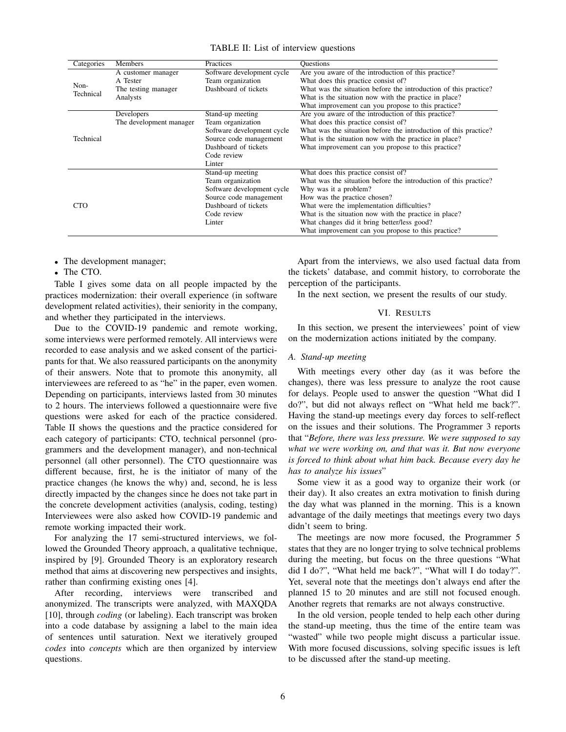TABLE II: List of interview questions

| Categories        | Members                 | Practices                  | <b>Ouestions</b>                                                 |  |
|-------------------|-------------------------|----------------------------|------------------------------------------------------------------|--|
| Non-<br>Technical | A customer manager      | Software development cycle | Are you aware of the introduction of this practice?              |  |
|                   | A Tester                | Team organization          | What does this practice consist of?                              |  |
|                   | The testing manager     | Dashboard of tickets       | What was the situation before the introduction of this practice? |  |
|                   | Analysts                |                            | What is the situation now with the practice in place?            |  |
|                   |                         |                            | What improvement can you propose to this practice?               |  |
| Technical         | Developers              | Stand-up meeting           | Are you aware of the introduction of this practice?              |  |
|                   | The development manager | Team organization          | What does this practice consist of?                              |  |
|                   |                         | Software development cycle | What was the situation before the introduction of this practice? |  |
|                   |                         | Source code management     | What is the situation now with the practice in place?            |  |
|                   |                         | Dashboard of tickets       | What improvement can you propose to this practice?               |  |
|                   |                         | Code review                |                                                                  |  |
|                   |                         | Linter                     |                                                                  |  |
| <b>CTO</b>        |                         | Stand-up meeting           | What does this practice consist of?                              |  |
|                   |                         | Team organization          | What was the situation before the introduction of this practice? |  |
|                   |                         | Software development cycle | Why was it a problem?                                            |  |
|                   |                         | Source code management     | How was the practice chosen?                                     |  |
|                   |                         | Dashboard of tickets       | What were the implementation difficulties?                       |  |
|                   |                         | Code review                | What is the situation now with the practice in place?            |  |
|                   |                         | Linter                     | What changes did it bring better/less good?                      |  |
|                   |                         |                            | What improvement can you propose to this practice?               |  |

• The development manager;

• The CTO.

Table I gives some data on all people impacted by the practices modernization: their overall experience (in software development related activities), their seniority in the company, and whether they participated in the interviews.

Due to the COVID-19 pandemic and remote working, some interviews were performed remotely. All interviews were recorded to ease analysis and we asked consent of the participants for that. We also reassured participants on the anonymity of their answers. Note that to promote this anonymity, all interviewees are refereed to as "he" in the paper, even women. Depending on participants, interviews lasted from 30 minutes to 2 hours. The interviews followed a questionnaire were five questions were asked for each of the practice considered. Table II shows the questions and the practice considered for each category of participants: CTO, technical personnel (programmers and the development manager), and non-technical personnel (all other personnel). The CTO questionnaire was different because, first, he is the initiator of many of the practice changes (he knows the why) and, second, he is less directly impacted by the changes since he does not take part in the concrete development activities (analysis, coding, testing) Interviewees were also asked how COVID-19 pandemic and remote working impacted their work.

For analyzing the 17 semi-structured interviews, we followed the Grounded Theory approach, a qualitative technique, inspired by [9]. Grounded Theory is an exploratory research method that aims at discovering new perspectives and insights, rather than confirming existing ones [4].

After recording, interviews were transcribed and anonymized. The transcripts were analyzed, with MAXQDA [10], through *coding* (or labeling). Each transcript was broken into a code database by assigning a label to the main idea of sentences until saturation. Next we iteratively grouped *codes* into *concepts* which are then organized by interview questions.

Apart from the interviews, we also used factual data from the tickets' database, and commit history, to corroborate the perception of the participants.

In the next section, we present the results of our study.

#### VI. RESULTS

In this section, we present the interviewees' point of view on the modernization actions initiated by the company.

#### *A. Stand-up meeting*

With meetings every other day (as it was before the changes), there was less pressure to analyze the root cause for delays. People used to answer the question "What did I do?", but did not always reflect on "What held me back?". Having the stand-up meetings every day forces to self-reflect on the issues and their solutions. The Programmer 3 reports that "*Before, there was less pressure. We were supposed to say what we were working on, and that was it. But now everyone is forced to think about what him back. Because every day he has to analyze his issues*"

Some view it as a good way to organize their work (or their day). It also creates an extra motivation to finish during the day what was planned in the morning. This is a known advantage of the daily meetings that meetings every two days didn't seem to bring.

The meetings are now more focused, the Programmer 5 states that they are no longer trying to solve technical problems during the meeting, but focus on the three questions "What did I do?", "What held me back?", "What will I do today?". Yet, several note that the meetings don't always end after the planned 15 to 20 minutes and are still not focused enough. Another regrets that remarks are not always constructive.

In the old version, people tended to help each other during the stand-up meeting, thus the time of the entire team was "wasted" while two people might discuss a particular issue. With more focused discussions, solving specific issues is left to be discussed after the stand-up meeting.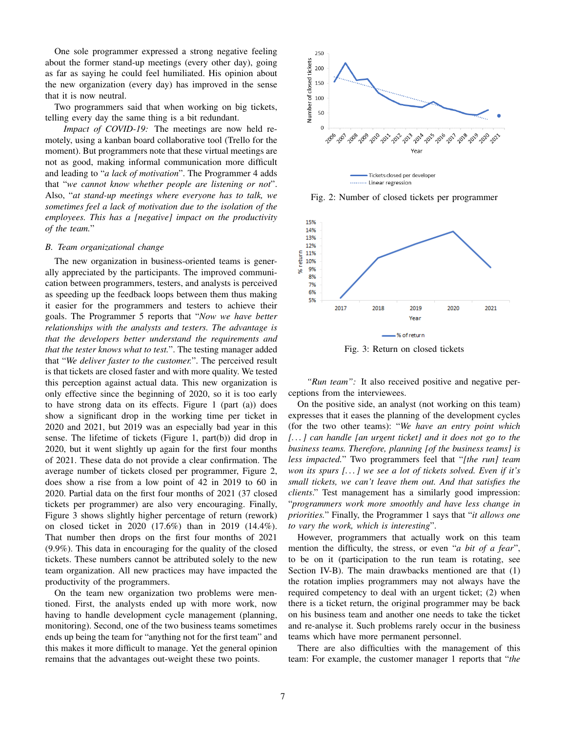One sole programmer expressed a strong negative feeling about the former stand-up meetings (every other day), going as far as saying he could feel humiliated. His opinion about the new organization (every day) has improved in the sense that it is now neutral.

Two programmers said that when working on big tickets, telling every day the same thing is a bit redundant.

*Impact of COVID-19:* The meetings are now held remotely, using a kanban board collaborative tool (Trello for the moment). But programmers note that these virtual meetings are not as good, making informal communication more difficult and leading to "*a lack of motivation*". The Programmer 4 adds that "*we cannot know whether people are listening or not*". Also, "*at stand-up meetings where everyone has to talk, we sometimes feel a lack of motivation due to the isolation of the employees. This has a [negative] impact on the productivity of the team.*"

#### *B. Team organizational change*

The new organization in business-oriented teams is generally appreciated by the participants. The improved communication between programmers, testers, and analysts is perceived as speeding up the feedback loops between them thus making it easier for the programmers and testers to achieve their goals. The Programmer 5 reports that "*Now we have better relationships with the analysts and testers. The advantage is that the developers better understand the requirements and that the tester knows what to test.*". The testing manager added that "*We deliver faster to the customer.*". The perceived result is that tickets are closed faster and with more quality. We tested this perception against actual data. This new organization is only effective since the beginning of 2020, so it is too early to have strong data on its effects. Figure 1 (part (a)) does show a significant drop in the working time per ticket in 2020 and 2021, but 2019 was an especially bad year in this sense. The lifetime of tickets (Figure 1, part(b)) did drop in 2020, but it went slightly up again for the first four months of 2021. These data do not provide a clear confirmation. The average number of tickets closed per programmer, Figure 2, does show a rise from a low point of 42 in 2019 to 60 in 2020. Partial data on the first four months of 2021 (37 closed tickets per programmer) are also very encouraging. Finally, Figure 3 shows slightly higher percentage of return (rework) on closed ticket in 2020 (17.6%) than in 2019 (14.4%). That number then drops on the first four months of 2021 (9.9%). This data in encouraging for the quality of the closed tickets. These numbers cannot be attributed solely to the new team organization. All new practices may have impacted the productivity of the programmers.

On the team new organization two problems were mentioned. First, the analysts ended up with more work, now having to handle development cycle management (planning, monitoring). Second, one of the two business teams sometimes ends up being the team for "anything not for the first team" and this makes it more difficult to manage. Yet the general opinion remains that the advantages out-weight these two points.



......... Linear regression

Fig. 2: Number of closed tickets per programmer



Fig. 3: Return on closed tickets

*"Run team":* It also received positive and negative perceptions from the interviewees.

On the positive side, an analyst (not working on this team) expresses that it eases the planning of the development cycles (for the two other teams): "*We have an entry point which [. . . ] can handle [an urgent ticket] and it does not go to the business teams. Therefore, planning [of the business teams] is less impacted.*" Two programmers feel that "*[the run] team won its spurs [. . . ] we see a lot of tickets solved. Even if it's small tickets, we can't leave them out. And that satisfies the clients*." Test management has a similarly good impression: "*programmers work more smoothly and have less change in priorities.*" Finally, the Programmer 1 says that "*it allows one to vary the work, which is interesting*".

However, programmers that actually work on this team mention the difficulty, the stress, or even "*a bit of a fear*", to be on it (participation to the run team is rotating, see Section IV-B). The main drawbacks mentioned are that (1) the rotation implies programmers may not always have the required competency to deal with an urgent ticket; (2) when there is a ticket return, the original programmer may be back on his business team and another one needs to take the ticket and re-analyse it. Such problems rarely occur in the business teams which have more permanent personnel.

There are also difficulties with the management of this team: For example, the customer manager 1 reports that "*the*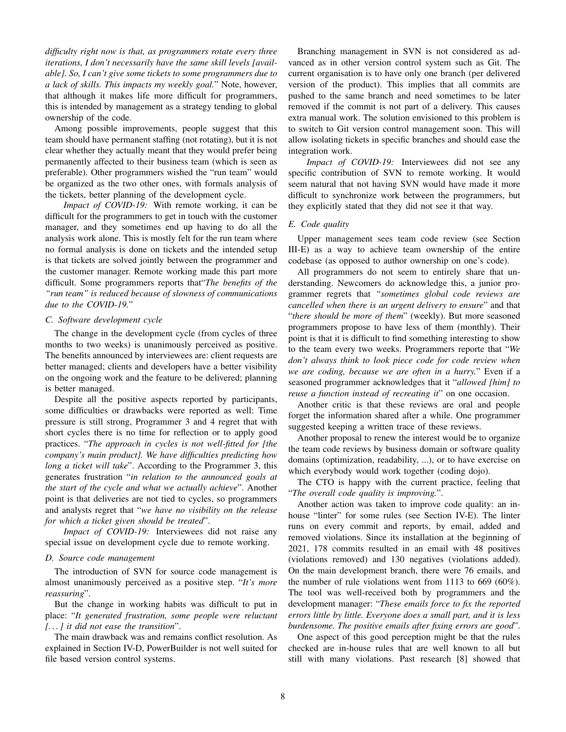*difficulty right now is that, as programmers rotate every three iterations, I don't necessarily have the same skill levels [available]. So, I can't give some tickets to some programmers due to a lack of skills. This impacts my weekly goal.*" Note, however, that although it makes life more difficult for programmers, this is intended by management as a strategy tending to global ownership of the code.

Among possible improvements, people suggest that this team should have permanent staffing (not rotating), but it is not clear whether they actually meant that they would prefer being permanently affected to their business team (which is seen as preferable). Other programmers wished the "run team" would be organized as the two other ones, with formals analysis of the tickets, better planning of the development cycle.

*Impact of COVID-19:* With remote working, it can be difficult for the programmers to get in touch with the customer manager, and they sometimes end up having to do all the analysis work alone. This is mostly felt for the run team where no formal analysis is done on tickets and the intended setup is that tickets are solved jointly between the programmer and the customer manager. Remote working made this part more difficult. Some programmers reports that"*The benefits of the "run team" is reduced because of slowness of communications due to the COVID-19.*"

#### *C. Software development cycle*

The change in the development cycle (from cycles of three months to two weeks) is unanimously perceived as positive. The benefits announced by interviewees are: client requests are better managed; clients and developers have a better visibility on the ongoing work and the feature to be delivered; planning is better managed.

Despite all the positive aspects reported by participants, some difficulties or drawbacks were reported as well: Time pressure is still strong, Programmer 3 and 4 regret that with short cycles there is no time for reflection or to apply good practices. "*The approach in cycles is not well-fitted for [the company's main product]. We have difficulties predicting how long a ticket will take*". According to the Programmer 3, this generates frustration "*in relation to the announced goals at the start of the cycle and what we actually achieve*". Another point is that deliveries are not tied to cycles, so programmers and analysts regret that "*we have no visibility on the release for which a ticket given should be treated*".

*Impact of COVID-19:* Interviewees did not raise any special issue on development cycle due to remote working.

#### *D. Source code management*

The introduction of SVN for source code management is almost unanimously perceived as a positive step. "*It's more reassuring*".

But the change in working habits was difficult to put in place: "*It generated frustration, some people were reluctant [. . . ] it did not ease the transition*".

The main drawback was and remains conflict resolution. As explained in Section IV-D, PowerBuilder is not well suited for file based version control systems.

Branching management in SVN is not considered as advanced as in other version control system such as Git. The current organisation is to have only one branch (per delivered version of the product). This implies that all commits are pushed to the same branch and need sometimes to be later removed if the commit is not part of a delivery. This causes extra manual work. The solution envisioned to this problem is to switch to Git version control management soon. This will allow isolating tickets in specific branches and should ease the integration work.

*Impact of COVID-19:* Interviewees did not see any specific contribution of SVN to remote working. It would seem natural that not having SVN would have made it more difficult to synchronize work between the programmers, but they explicitly stated that they did not see it that way.

#### *E. Code quality*

Upper management sees team code review (see Section III-E) as a way to achieve team ownership of the entire codebase (as opposed to author ownership on one's code).

All programmers do not seem to entirely share that understanding. Newcomers do acknowledge this, a junior programmer regrets that *"sometimes global code reviews are cancelled when there is an urgent delivery to ensure*" and that "*there should be more of them*" (weekly). But more seasoned programmers propose to have less of them (monthly). Their point is that it is difficult to find something interesting to show to the team every two weeks. Programmers reporte that "*We don't always think to look piece code for code review when we are coding, because we are often in a hurry.*" Even if a seasoned programmer acknowledges that it "*allowed [him] to reuse a function instead of recreating it*" on one occasion.

Another critic is that these reviews are oral and people forget the information shared after a while. One programmer suggested keeping a written trace of these reviews.

Another proposal to renew the interest would be to organize the team code reviews by business domain or software quality domains (optimization, readability, ...), or to have exercise on which everybody would work together (coding dojo).

The CTO is happy with the current practice, feeling that "*The overall code quality is improving.*".

Another action was taken to improve code quality: an inhouse "linter" for some rules (see Section IV-E). The linter runs on every commit and reports, by email, added and removed violations. Since its installation at the beginning of 2021, 178 commits resulted in an email with 48 positives (violations removed) and 130 negatives (violations added). On the main development branch, there were 76 emails, and the number of rule violations went from 1113 to 669 (60%). The tool was well-received both by programmers and the development manager: "*These emails force to fix the reported errors little by little. Everyone does a small part, and it is less burdensome. The positive emails after fixing errors are good*".

One aspect of this good perception might be that the rules checked are in-house rules that are well known to all but still with many violations. Past research [8] showed that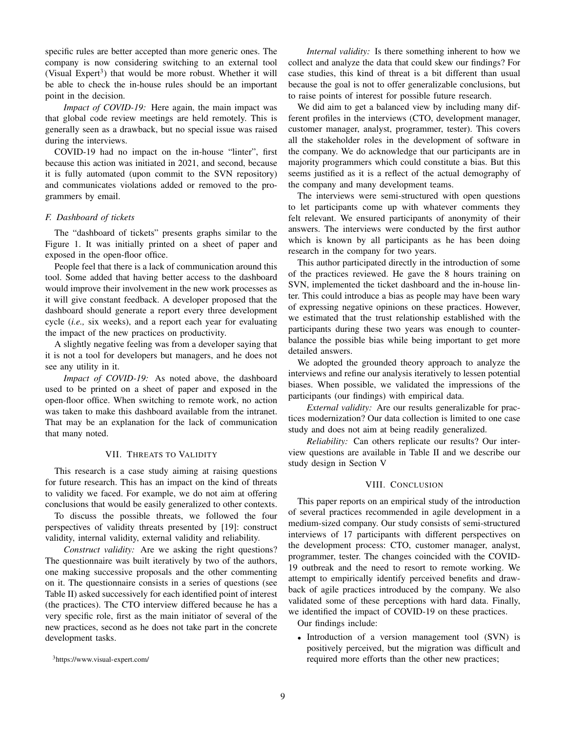specific rules are better accepted than more generic ones. The company is now considering switching to an external tool (Visual Expert<sup>3</sup>) that would be more robust. Whether it will be able to check the in-house rules should be an important point in the decision.

*Impact of COVID-19:* Here again, the main impact was that global code review meetings are held remotely. This is generally seen as a drawback, but no special issue was raised during the interviews.

COVID-19 had no impact on the in-house "linter", first because this action was initiated in 2021, and second, because it is fully automated (upon commit to the SVN repository) and communicates violations added or removed to the programmers by email.

#### *F. Dashboard of tickets*

The "dashboard of tickets" presents graphs similar to the Figure 1. It was initially printed on a sheet of paper and exposed in the open-floor office.

People feel that there is a lack of communication around this tool. Some added that having better access to the dashboard would improve their involvement in the new work processes as it will give constant feedback. A developer proposed that the dashboard should generate a report every three development cycle (*i.e.,* six weeks), and a report each year for evaluating the impact of the new practices on productivity.

A slightly negative feeling was from a developer saying that it is not a tool for developers but managers, and he does not see any utility in it.

*Impact of COVID-19:* As noted above, the dashboard used to be printed on a sheet of paper and exposed in the open-floor office. When switching to remote work, no action was taken to make this dashboard available from the intranet. That may be an explanation for the lack of communication that many noted.

#### VII. THREATS TO VALIDITY

This research is a case study aiming at raising questions for future research. This has an impact on the kind of threats to validity we faced. For example, we do not aim at offering conclusions that would be easily generalized to other contexts.

To discuss the possible threats, we followed the four perspectives of validity threats presented by [19]: construct validity, internal validity, external validity and reliability.

*Construct validity:* Are we asking the right questions? The questionnaire was built iteratively by two of the authors, one making successive proposals and the other commenting on it. The questionnaire consists in a series of questions (see Table II) asked successively for each identified point of interest (the practices). The CTO interview differed because he has a very specific role, first as the main initiator of several of the new practices, second as he does not take part in the concrete development tasks.

*Internal validity:* Is there something inherent to how we collect and analyze the data that could skew our findings? For case studies, this kind of threat is a bit different than usual because the goal is not to offer generalizable conclusions, but to raise points of interest for possible future research.

We did aim to get a balanced view by including many different profiles in the interviews (CTO, development manager, customer manager, analyst, programmer, tester). This covers all the stakeholder roles in the development of software in the company. We do acknowledge that our participants are in majority programmers which could constitute a bias. But this seems justified as it is a reflect of the actual demography of the company and many development teams.

The interviews were semi-structured with open questions to let participants come up with whatever comments they felt relevant. We ensured participants of anonymity of their answers. The interviews were conducted by the first author which is known by all participants as he has been doing research in the company for two years.

This author participated directly in the introduction of some of the practices reviewed. He gave the 8 hours training on SVN, implemented the ticket dashboard and the in-house linter. This could introduce a bias as people may have been wary of expressing negative opinions on these practices. However, we estimated that the trust relationship established with the participants during these two years was enough to counterbalance the possible bias while being important to get more detailed answers.

We adopted the grounded theory approach to analyze the interviews and refine our analysis iteratively to lessen potential biases. When possible, we validated the impressions of the participants (our findings) with empirical data.

*External validity:* Are our results generalizable for practices modernization? Our data collection is limited to one case study and does not aim at being readily generalized.

*Reliability:* Can others replicate our results? Our interview questions are available in Table II and we describe our study design in Section V

#### VIII. CONCLUSION

This paper reports on an empirical study of the introduction of several practices recommended in agile development in a medium-sized company. Our study consists of semi-structured interviews of 17 participants with different perspectives on the development process: CTO, customer manager, analyst, programmer, tester. The changes coincided with the COVID-19 outbreak and the need to resort to remote working. We attempt to empirically identify perceived benefits and drawback of agile practices introduced by the company. We also validated some of these perceptions with hard data. Finally, we identified the impact of COVID-19 on these practices.

Our findings include:

• Introduction of a version management tool (SVN) is positively perceived, but the migration was difficult and required more efforts than the other new practices;

<sup>3</sup>https://www.visual-expert.com/